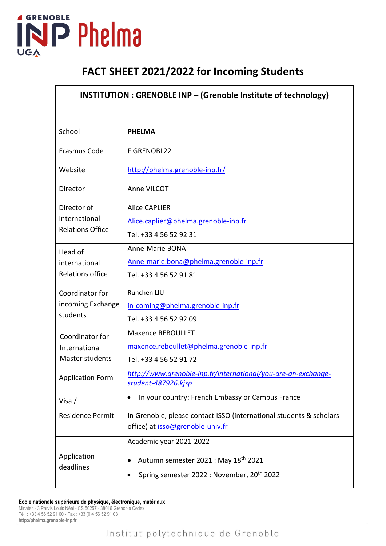

## **FACT SHEET 2021/2022 for Incoming Students**

| <b>INSTITUTION: GRENOBLE INP - (Grenoble Institute of technology)</b> |                                                                                                                                                                          |  |  |  |
|-----------------------------------------------------------------------|--------------------------------------------------------------------------------------------------------------------------------------------------------------------------|--|--|--|
| School                                                                | <b>PHELMA</b>                                                                                                                                                            |  |  |  |
| Erasmus Code                                                          | F GRENOBL22                                                                                                                                                              |  |  |  |
| Website                                                               | http://phelma.grenoble-inp.fr/                                                                                                                                           |  |  |  |
| Director                                                              | Anne VILCOT                                                                                                                                                              |  |  |  |
| Director of<br>International<br><b>Relations Office</b>               | <b>Alice CAPLIER</b><br>Alice.caplier@phelma.grenoble-inp.fr<br>Tel. +33 4 56 52 92 31                                                                                   |  |  |  |
| Head of<br>international<br><b>Relations office</b>                   | Anne-Marie BONA<br>Anne-marie.bona@phelma.grenoble-inp.fr<br>Tel. +33 4 56 52 91 81                                                                                      |  |  |  |
| Coordinator for<br>incoming Exchange<br>students                      | Runchen LIU<br>in-coming@phelma.grenoble-inp.fr<br>Tel. +33 4 56 52 92 09                                                                                                |  |  |  |
| Coordinator for<br>International<br><b>Master students</b>            | <b>Maxence REBOULLET</b><br>maxence.reboullet@phelma.grenoble-inp.fr<br>Tel. +33 4 56 52 91 72                                                                           |  |  |  |
| <b>Application Form</b>                                               | http://www.grenoble-inp.fr/international/you-are-an-exchange-<br>student-487926.kjsp                                                                                     |  |  |  |
| Visa /<br>Residence Permit                                            | In your country: French Embassy or Campus France<br>$\bullet$<br>In Grenoble, please contact ISSO (international students & scholars<br>office) at isso@grenoble-univ.fr |  |  |  |
| Application<br>deadlines                                              | Academic year 2021-2022<br>Autumn semester 2021 : May 18th 2021<br>Spring semester 2022 : November, 20 <sup>th</sup> 2022                                                |  |  |  |

**École nationale supérieure de physique, électronique, matériaux**

Minatec - 3 Parvis Louis Néel - CS 50257 - 38016 Grenoble Cedex 1 Tél. : +33 4 56 52 91 00 - Fax : +33 (0)4 56 52 91 03 **http://phelma.grenoble-inp.fr**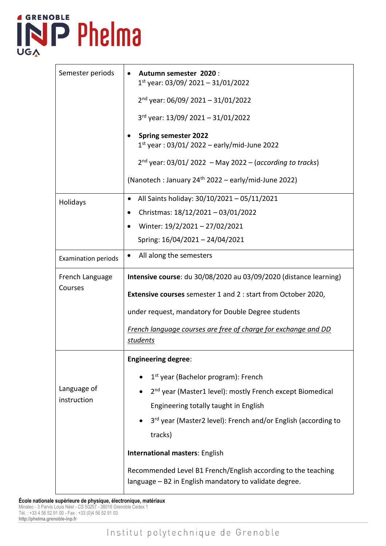## **4 GRENOBLE** INP Phelma **UGA**

r

| Semester periods           | Autumn semester 2020:<br>$\bullet$                                                                                      |  |  |  |
|----------------------------|-------------------------------------------------------------------------------------------------------------------------|--|--|--|
|                            | $1st$ year: 03/09/ 2021 - 31/01/2022                                                                                    |  |  |  |
|                            | $2nd$ year: 06/09/ 2021 - 31/01/2022                                                                                    |  |  |  |
|                            | $3rd$ year: 13/09/ 2021 - 31/01/2022                                                                                    |  |  |  |
|                            | <b>Spring semester 2022</b><br>$1^{st}$ year: 03/01/2022 – early/mid-June 2022                                          |  |  |  |
|                            | $2^{nd}$ year: 03/01/ 2022 – May 2022 – (according to tracks)                                                           |  |  |  |
|                            | (Nanotech : January 24 <sup>th</sup> 2022 – early/mid-June 2022)                                                        |  |  |  |
| Holidays                   | All Saints holiday: 30/10/2021 - 05/11/2021                                                                             |  |  |  |
|                            | Christmas: 18/12/2021 - 03/01/2022<br>$\bullet$                                                                         |  |  |  |
|                            | Winter: 19/2/2021 - 27/02/2021<br>$\bullet$                                                                             |  |  |  |
|                            | Spring: 16/04/2021 - 24/04/2021                                                                                         |  |  |  |
| <b>Examination periods</b> | All along the semesters<br>$\bullet$                                                                                    |  |  |  |
| French Language<br>Courses | Intensive course: du 30/08/2020 au 03/09/2020 (distance learning)                                                       |  |  |  |
|                            | <b>Extensive courses</b> semester 1 and 2 : start from October 2020,                                                    |  |  |  |
|                            | under request, mandatory for Double Degree students                                                                     |  |  |  |
|                            | French language courses are free of charge for exchange and DD<br>students                                              |  |  |  |
| Language of<br>instruction | <b>Engineering degree:</b>                                                                                              |  |  |  |
|                            | 1 <sup>st</sup> year (Bachelor program): French                                                                         |  |  |  |
|                            | 2 <sup>nd</sup> year (Master1 level): mostly French except Biomedical                                                   |  |  |  |
|                            | Engineering totally taught in English                                                                                   |  |  |  |
|                            | 3rd year (Master2 level): French and/or English (according to                                                           |  |  |  |
|                            | tracks)                                                                                                                 |  |  |  |
|                            | <b>International masters: English</b>                                                                                   |  |  |  |
|                            | Recommended Level B1 French/English according to the teaching<br>language - B2 in English mandatory to validate degree. |  |  |  |